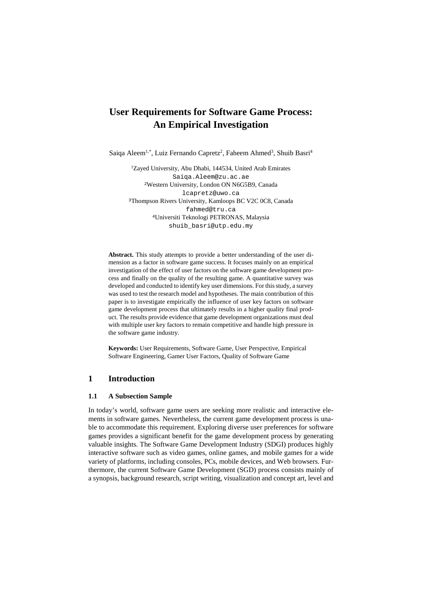# **User Requirements for Software Game Process: An Empirical Investigation**

Saiqa Aleem<sup>1,\*</sup>, Luiz Fernando Capretz<sup>2</sup>, Faheem Ahmed<sup>3</sup>, Shuib Basri<sup>4</sup>

<sup>1</sup>Zayed University, Abu Dhabi, 144534, United Arab Emirates [Saiqa.Aleem@zu.ac.ae](mailto:Saiqa.Aleem@zu.ac.ae) <sup>2</sup>Western University, London ON N6G5B9, Canada lcapretz@uwo.ca <sup>3</sup>Thompson Rivers University, Kamloops BC V2C 0C8, Canada fahmed@tru.ca <sup>4</sup>Universiti Teknologi PETRONAS, Malaysia shuib\_basri@utp.edu.my

**Abstract.** This study attempts to provide a better understanding of the user dimension as a factor in software game success. It focuses mainly on an empirical investigation of the effect of user factors on the software game development process and finally on the quality of the resulting game. A quantitative survey was developed and conducted to identify key user dimensions. For this study, a survey was used to test the research model and hypotheses. The main contribution of this paper is to investigate empirically the influence of user key factors on software game development process that ultimately results in a higher quality final product. The results provide evidence that game development organizations must deal with multiple user key factors to remain competitive and handle high pressure in the software game industry.

**Keywords:** User Requirements, Software Game, User Perspective, Empirical Software Engineering, Gamer User Factors, Quality of Software Game

# **1 Introduction**

#### **1.1 A Subsection Sample**

In today's world, software game users are seeking more realistic and interactive elements in software games. Nevertheless, the current game development process is unable to accommodate this requirement. Exploring diverse user preferences for software games provides a significant benefit for the game development process by generating valuable insights. The Software Game Development Industry (SDGI) produces highly interactive software such as video games, online games, and mobile games for a wide variety of platforms, including consoles, PCs, mobile devices, and Web browsers. Furthermore, the current Software Game Development (SGD) process consists mainly of a synopsis, background research, script writing, visualization and concept art, level and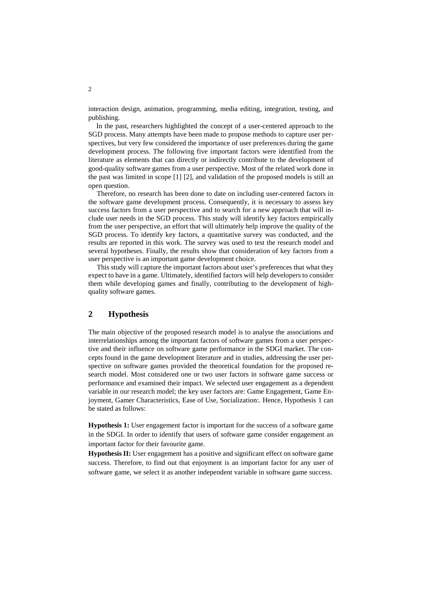interaction design, animation, programming, media editing, integration, testing, and publishing.

In the past, researchers highlighted the concept of a user-centered approach to the SGD process. Many attempts have been made to propose methods to capture user perspectives, but very few considered the importance of user preferences during the game development process. The following five important factors were identified from the literature as elements that can directly or indirectly contribute to the development of good-quality software games from a user perspective. Most of the related work done in the past was limited in scope [1] [2], and validation of the proposed models is still an open question.

Therefore, no research has been done to date on including user-centered factors in the software game development process. Consequently, it is necessary to assess key success factors from a user perspective and to search for a new approach that will include user needs in the SGD process. This study will identify key factors empirically from the user perspective, an effort that will ultimately help improve the quality of the SGD process. To identify key factors, a quantitative survey was conducted, and the results are reported in this work. The survey was used to test the research model and several hypotheses. Finally, the results show that consideration of key factors from a user perspective is an important game development choice.

This study will capture the important factors about user's preferences that what they expect to have in a game. Ultimately, identified factors will help developers to consider them while developing games and finally, contributing to the development of highquality software games.

# **2 Hypothesis**

The main objective of the proposed research model is to analyse the associations and interrelationships among the important factors of software games from a user perspective and their influence on software game performance in the SDGI market. The concepts found in the game development literature and in studies, addressing the user perspective on software games provided the theoretical foundation for the proposed research model. Most considered one or two user factors in software game success or performance and examined their impact. We selected user engagement as a dependent variable in our research model; the key user factors are: Game Engagement, Game Enjoyment, Gamer Characteristics, Ease of Use, Socialization:. Hence, Hypothesis 1 can be stated as follows:

**Hypothesis 1:** User engagement factor is important for the success of a software game in the SDGI. In order to identify that users of software game consider engagement an important factor for their favourite game.

**Hypothesis II:** User engagement has a positive and significant effect on software game success. Therefore, to find out that enjoyment is an important factor for any user of software game, we select it as another independent variable in software game success.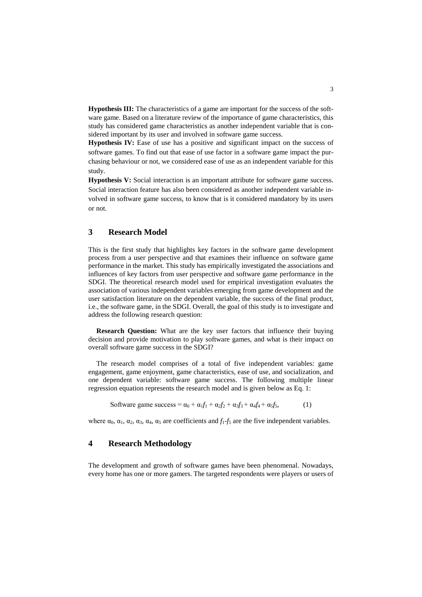**Hypothesis III:** The characteristics of a game are important for the success of the software game. Based on a literature review of the importance of game characteristics, this study has considered game characteristics as another independent variable that is considered important by its user and involved in software game success.

**Hypothesis IV:** Ease of use has a positive and significant impact on the success of software games. To find out that ease of use factor in a software game impact the purchasing behaviour or not, we considered ease of use as an independent variable for this study.

**Hypothesis V:** Social interaction is an important attribute for software game success. Social interaction feature has also been considered as another independent variable involved in software game success, to know that is it considered mandatory by its users or not.

# **3 Research Model**

This is the first study that highlights key factors in the software game development process from a user perspective and that examines their influence on software game performance in the market. This study has empirically investigated the associations and influences of key factors from user perspective and software game performance in the SDGI. The theoretical research model used for empirical investigation evaluates the association of various independent variables emerging from game development and the user satisfaction literature on the dependent variable, the success of the final product, i.e., the software game, in the SDGI. Overall, the goal of this study is to investigate and address the following research question:

**Research Question:** What are the key user factors that influence their buying decision and provide motivation to play software games, and what is their impact on overall software game success in the SDGI?

The research model comprises of a total of five independent variables: game engagement, game enjoyment, game characteristics, ease of use, and socialization, and one dependent variable: software game success. The following multiple linear regression equation represents the research model and is given below as Eq. 1:

$$
Software game success = \alpha_0 + \alpha_1 f_1 + \alpha_2 f_2 + \alpha_3 f_3 + \alpha_4 f_4 + \alpha_5 f_5,
$$
\n(1)

where  $\alpha_0$ ,  $\alpha_1$ ,  $\alpha_2$ ,  $\alpha_3$ ,  $\alpha_4$ ,  $\alpha_5$  are coefficients and  $f_1-f_5$  are the five independent variables.

### **4 Research Methodology**

The development and growth of software games have been phenomenal. Nowadays, every home has one or more gamers. The targeted respondents were players or users of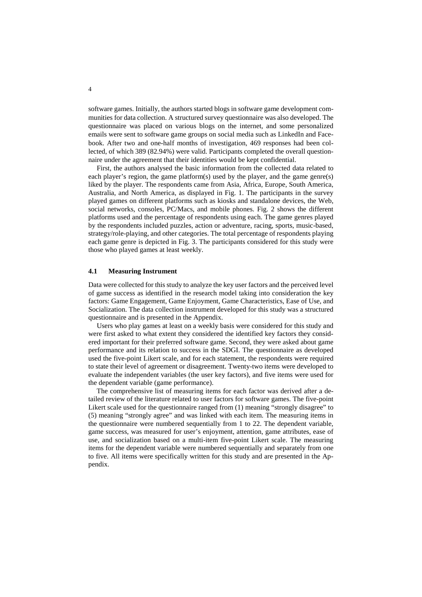software games. Initially, the authors started blogs in software game development communities for data collection. A structured survey questionnaire was also developed. The questionnaire was placed on various blogs on the internet, and some personalized emails were sent to software game groups on social media such as LinkedIn and Facebook. After two and one-half months of investigation, 469 responses had been collected, of which 389 (82.94%) were valid. Participants completed the overall questionnaire under the agreement that their identities would be kept confidential.

First, the authors analysed the basic information from the collected data related to each player's region, the game platform(s) used by the player, and the game genre(s) liked by the player. The respondents came from Asia, Africa, Europe, South America, Australia, and North America, as displayed in Fig. 1. The participants in the survey played games on different platforms such as kiosks and standalone devices, the Web, social networks, consoles, PC/Macs, and mobile phones. Fig. 2 shows the different platforms used and the percentage of respondents using each. The game genres played by the respondents included puzzles, action or adventure, racing, sports, music-based, strategy/role-playing, and other categories. The total percentage of respondents playing each game genre is depicted in Fig. 3. The participants considered for this study were those who played games at least weekly.

#### **4.1 Measuring Instrument**

Data were collected for this study to analyze the key user factors and the perceived level of game success as identified in the research model taking into consideration the key factors: Game Engagement, Game Enjoyment, Game Characteristics, Ease of Use, and Socialization. The data collection instrument developed for this study was a structured questionnaire and is presented in the Appendix.

Users who play games at least on a weekly basis were considered for this study and were first asked to what extent they considered the identified key factors they considered important for their preferred software game. Second, they were asked about game performance and its relation to success in the SDGI. The questionnaire as developed used the five-point Likert scale, and for each statement, the respondents were required to state their level of agreement or disagreement. Twenty-two items were developed to evaluate the independent variables (the user key factors), and five items were used for the dependent variable (game performance).

The comprehensive list of measuring items for each factor was derived after a detailed review of the literature related to user factors for software games. The five-point Likert scale used for the questionnaire ranged from (1) meaning "strongly disagree" to (5) meaning "strongly agree" and was linked with each item. The measuring items in the questionnaire were numbered sequentially from 1 to 22. The dependent variable, game success, was measured for user's enjoyment, attention, game attributes, ease of use, and socialization based on a multi-item five-point Likert scale. The measuring items for the dependent variable were numbered sequentially and separately from one to five. All items were specifically written for this study and are presented in the Appendix.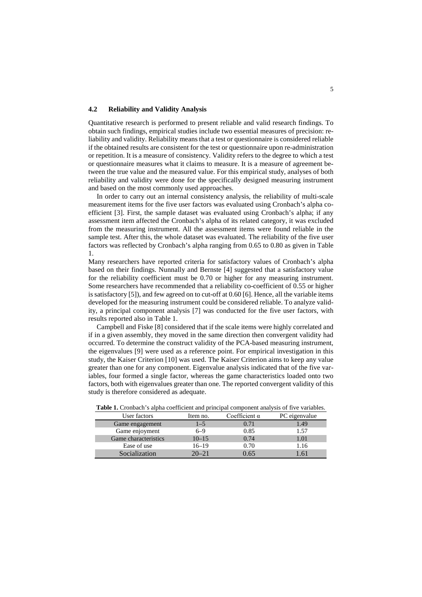#### **4.2 Reliability and Validity Analysis**

Quantitative research is performed to present reliable and valid research findings. To obtain such findings, empirical studies include two essential measures of precision: reliability and validity. Reliability means that a test or questionnaire is considered reliable if the obtained results are consistent for the test or questionnaire upon re-administration or repetition. It is a measure of consistency. Validity refers to the degree to which a test or questionnaire measures what it claims to measure. It is a measure of agreement between the true value and the measured value. For this empirical study, analyses of both reliability and validity were done for the specifically designed measuring instrument and based on the most commonly used approaches.

In order to carry out an internal consistency analysis, the reliability of multi-scale measurement items for the five user factors was evaluated using Cronbach's alpha coefficient [3]. First, the sample dataset was evaluated using Cronbach's alpha; if any assessment item affected the Cronbach's alpha of its related category, it was excluded from the measuring instrument. All the assessment items were found reliable in the sample test. After this, the whole dataset was evaluated. The reliability of the five user factors was reflected by Cronbach's alpha ranging from 0.65 to 0.80 as given in Table 1.

Many researchers have reported criteria for satisfactory values of Cronbach's alpha based on their findings. Nunnally and Bernste [4] suggested that a satisfactory value for the reliability coefficient must be 0.70 or higher for any measuring instrument. Some researchers have recommended that a reliability co-coefficient of 0.55 or higher is satisfactory [5]), and few agreed on to cut-off at 0.60 [6]. Hence, all the variable items developed for the measuring instrument could be considered reliable. To analyze validity, a principal component analysis [7] was conducted for the five user factors, with results reported also in Table 1.

Campbell and Fiske [8] considered that if the scale items were highly correlated and if in a given assembly, they moved in the same direction then convergent validity had occurred. To determine the construct validity of the PCA-based measuring instrument, the eigenvalues [9] were used as a reference point. For empirical investigation in this study, the Kaiser Criterion [10] was used. The Kaiser Criterion aims to keep any value greater than one for any component. Eigenvalue analysis indicated that of the five variables, four formed a single factor, whereas the game characteristics loaded onto two factors, both with eigenvalues greater than one. The reported convergent validity of this study is therefore considered as adequate.

|              | $-$ which is the computation of the contract of the contract of $\sim$<br>$P_{\text{max}}$ . The contract of the state $\frac{1}{2}$ and $\frac{1}{2}$ are $\frac{1}{2}$ . We have read |           |                      |               |  |  |  |  |
|--------------|-----------------------------------------------------------------------------------------------------------------------------------------------------------------------------------------|-----------|----------------------|---------------|--|--|--|--|
| User factors |                                                                                                                                                                                         | Item no.  | Coefficient $\alpha$ | PC eigenvalue |  |  |  |  |
|              | Game engagement                                                                                                                                                                         | $1 - 5$   | 0.71                 | 1.49          |  |  |  |  |
|              | Game enjoyment                                                                                                                                                                          | $6 - 9$   | 0.85                 | 1.57          |  |  |  |  |
|              | Game characteristics                                                                                                                                                                    | $10 - 15$ | 0.74                 | 1.01          |  |  |  |  |
|              | Ease of use                                                                                                                                                                             | $16 - 19$ | 0.70                 | 1.16          |  |  |  |  |
|              | Socialization                                                                                                                                                                           | $20 - 21$ | 0.65                 |               |  |  |  |  |

**Table 1.** Cronbach's alpha coefficient and principal component analysis of five variables.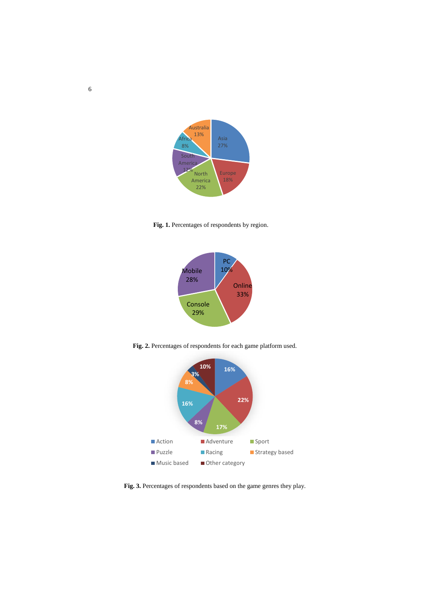

**Fig. 1.** Percentages of respondents by region.



**Fig. 2.** Percentages of respondents for each game platform used.



**Fig. 3.** Percentages of respondents based on the game genres they play.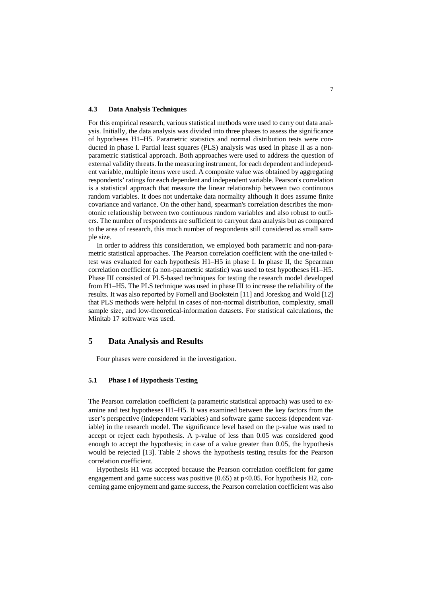### **4.3 Data Analysis Techniques**

For this empirical research, various statistical methods were used to carry out data analysis. Initially, the data analysis was divided into three phases to assess the significance of hypotheses H1–H5. Parametric statistics and normal distribution tests were conducted in phase I. Partial least squares (PLS) analysis was used in phase II as a nonparametric statistical approach. Both approaches were used to address the question of external validity threats. In the measuring instrument, for each dependent and independent variable, multiple items were used. A composite value was obtained by aggregating respondents' ratings for each dependent and independent variable. Pearson's correlation is a statistical approach that measure the linear relationship between two continuous random variables. It does not undertake data normality although it does assume finite covariance and variance. On the other hand, spearman's correlation describes the monotonic relationship between two continuous random variables and also robust to outliers. The number of respondents are sufficient to carryout data analysis but as compared to the area of research, this much number of respondents still considered as small sample size.

In order to address this consideration, we employed both parametric and non-parametric statistical approaches. The Pearson correlation coefficient with the one-tailed ttest was evaluated for each hypothesis H1–H5 in phase I. In phase II, the Spearman correlation coefficient (a non-parametric statistic) was used to test hypotheses H1–H5. Phase III consisted of PLS-based techniques for testing the research model developed from H1–H5. The PLS technique was used in phase III to increase the reliability of the results. It was also reported by Fornell and Bookstein [11] and Joreskog and Wold [12] that PLS methods were helpful in cases of non-normal distribution, complexity, small sample size, and low-theoretical-information datasets. For statistical calculations, the Minitab 17 software was used.

# **5 Data Analysis and Results**

Four phases were considered in the investigation.

#### **5.1 Phase I of Hypothesis Testing**

The Pearson correlation coefficient (a parametric statistical approach) was used to examine and test hypotheses H1–H5. It was examined between the key factors from the user's perspective (independent variables) and software game success (dependent variable) in the research model. The significance level based on the p-value was used to accept or reject each hypothesis. A p-value of less than 0.05 was considered good enough to accept the hypothesis; in case of a value greater than 0.05, the hypothesis would be rejected [13]. Table 2 shows the hypothesis testing results for the Pearson correlation coefficient.

Hypothesis H1 was accepted because the Pearson correlation coefficient for game engagement and game success was positive  $(0.65)$  at p<0.05. For hypothesis H2, concerning game enjoyment and game success, the Pearson correlation coefficient was also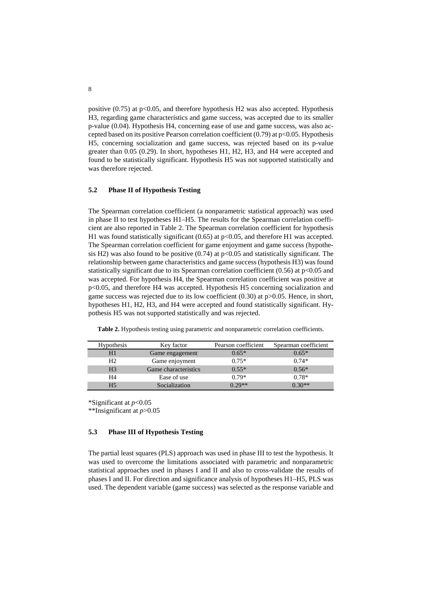positive  $(0.75)$  at p<0.05, and therefore hypothesis H2 was also accepted. Hypothesis H3, regarding game characteristics and game success, was accepted due to its smaller p-value (0.04). Hypothesis H4, concerning ease of use and game success, was also accepted based on its positive Pearson correlation coefficient  $(0.79)$  at  $p<0.05$ . Hypothesis H5, concerning socialization and game success, was rejected based on its p-value greater than 0.05 (0.29). In short, hypotheses H1, H2, H3, and H4 were accepted and found to be statistically significant. Hypothesis H5 was not supported statistically and was therefore rejected.

### **5.2 Phase II of Hypothesis Testing**

The Spearman correlation coefficient (a nonparametric statistical approach) was used in phase II to test hypotheses H1–H5. The results for the Spearman correlation coefficient are also reported in Table 2. The Spearman correlation coefficient for hypothesis H1 was found statistically significant  $(0.65)$  at p<0.05, and therefore H1 was accepted. The Spearman correlation coefficient for game enjoyment and game success (hypothesis H2) was also found to be positive  $(0.74)$  at p $<0.05$  and statistically significant. The relationship between game characteristics and game success (hypothesis H3) was found statistically significant due to its Spearman correlation coefficient  $(0.56)$  at p<0.05 and was accepted. For hypothesis H4, the Spearman correlation coefficient was positive at p<0.05, and therefore H4 was accepted. Hypothesis H5 concerning socialization and game success was rejected due to its low coefficient (0.30) at p>0.05. Hence, in short, hypotheses H1, H2, H3, and H4 were accepted and found statistically significant. Hypothesis H5 was not supported statistically and was rejected.

| <b>Hypothesis</b> | Key factor           | Pearson coefficient | Spearman coefficient |
|-------------------|----------------------|---------------------|----------------------|
| H1                | Game engagement      | $0.65*$             | $0.65*$              |
| H <sub>2</sub>    | Game enjoyment       | $0.75*$             | $0.74*$              |
| H <sub>3</sub>    | Game characteristics | $0.55*$             | $0.56*$              |
| H4                | Ease of use          | $0.79*$             | $0.78*$              |
| H5                | Socialization        | $0.29**$            | $7.30**$             |

**Table 2.** Hypothesis testing using parametric and nonparametric correlation coefficients.

\*Significant at *p*<0.05

\*\*Insignificant at *p*>0.05

### **5.3 Phase III of Hypothesis Testing**

The partial least squares (PLS) approach was used in phase III to test the hypothesis. It was used to overcome the limitations associated with parametric and nonparametric statistical approaches used in phases I and II and also to cross-validate the results of phases I and II. For direction and significance analysis of hypotheses H1–H5, PLS was used. The dependent variable (game success) was selected as the response variable and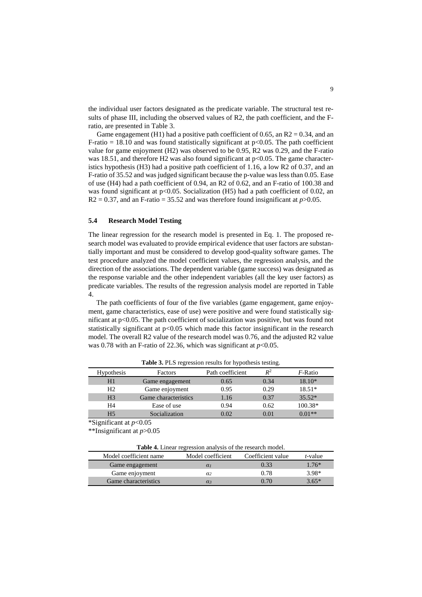the individual user factors designated as the predicate variable. The structural test results of phase III, including the observed values of R2, the path coefficient, and the Fratio, are presented in Table 3.

Game engagement (H1) had a positive path coefficient of 0.65, an  $R2 = 0.34$ , and an F-ratio = 18.10 and was found statistically significant at  $p<0.05$ . The path coefficient value for game enjoyment (H2) was observed to be 0.95, R2 was 0.29, and the F-ratio was 18.51, and therefore H2 was also found significant at p<0.05. The game characteristics hypothesis (H3) had a positive path coefficient of 1.16, a low R2 of 0.37, and an F-ratio of 35.52 and was judged significant because the p-value was less than 0.05. Ease of use (H4) had a path coefficient of 0.94, an R2 of 0.62, and an F-ratio of 100.38 and was found significant at p<0.05. Socialization (H5) had a path coefficient of 0.02, an  $R2 = 0.37$ , and an F-ratio = 35.52 and was therefore found insignificant at  $p > 0.05$ .

#### **5.4 Research Model Testing**

The linear regression for the research model is presented in Eq. 1. The proposed research model was evaluated to provide empirical evidence that user factors are substantially important and must be considered to develop good-quality software games. The test procedure analyzed the model coefficient values, the regression analysis, and the direction of the associations. The dependent variable (game success) was designated as the response variable and the other independent variables (all the key user factors) as predicate variables. The results of the regression analysis model are reported in Table 4.

The path coefficients of four of the five variables (game engagement, game enjoyment, game characteristics, ease of use) were positive and were found statistically significant at p<0.05. The path coefficient of socialization was positive, but was found not statistically significant at p<0.05 which made this factor insignificant in the research model. The overall R2 value of the research model was 0.76, and the adjusted R2 value was 0.78 with an F-ratio of 22.36, which was significant at  $p<0.05$ .

| <b>Hypothesis</b> | Factors              | Path coefficient | $\mathbf{D}^2$ | <i>F</i> -Ratio |
|-------------------|----------------------|------------------|----------------|-----------------|
| H1                | Game engagement      | 0.65             | 0.34           | 18.10*          |
| H <sub>2</sub>    | Game enjoyment       | 0.95             | 0.29           | $18.51*$        |
| H <sub>3</sub>    | Game characteristics | 1.16             | 0.37           | $35.52*$        |
| H4                | Ease of use          | 0.94             | 0.62           | $100.38*$       |
|                   | Socialization        | 0.02             | 0 01           | $01**$          |

**Table 3.** PLS regression results for hypothesis testing.

 $*\overline{\text{Significant}}$  at  $p<0.05$ 

\*\*Insignificant at *p*>0.05

| <b>Table 4.</b> Linear regression analysis of the research model. |            |      |         |  |  |  |  |
|-------------------------------------------------------------------|------------|------|---------|--|--|--|--|
| Model coefficient name<br>Model coefficient<br>Coefficient value  |            |      |         |  |  |  |  |
| Game engagement                                                   | $\alpha_I$ | 0.33 | $176*$  |  |  |  |  |
| Game enjoyment                                                    | α2         | 0.78 | $3.98*$ |  |  |  |  |

Game characteristics *α<sub>3</sub>* 0.70 3.65<sup>\*</sup>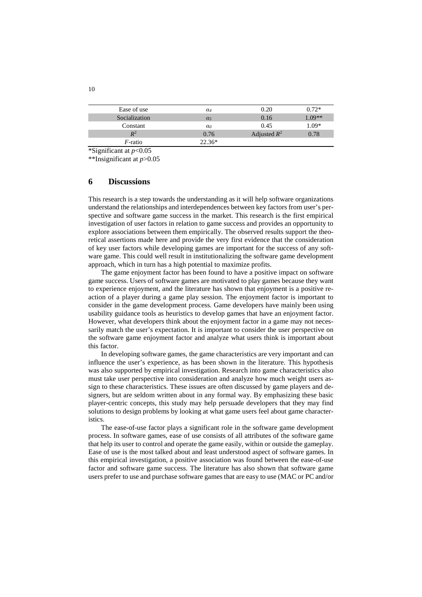| Ease of use     | $\alpha_4$            | 0.20           | $0.72*$  |
|-----------------|-----------------------|----------------|----------|
| Socialization   | $\alpha$ <sub>5</sub> | 0.16           | $0.09**$ |
| Constant        | $\alpha$              | 0.45           | $1.09*$  |
| $\mathbb{R}^2$  | 0.76                  | Adjusted $R^2$ | 0.78     |
| <i>F</i> -ratio | $22.36*$              |                |          |
|                 |                       |                |          |

\*Significant at *p*<0.05

\*\*Insignificant at *p*>0.05

### **6 Discussions**

This research is a step towards the understanding as it will help software organizations understand the relationships and interdependences between key factors from user's perspective and software game success in the market. This research is the first empirical investigation of user factors in relation to game success and provides an opportunity to explore associations between them empirically. The observed results support the theoretical assertions made here and provide the very first evidence that the consideration of key user factors while developing games are important for the success of any software game. This could well result in institutionalizing the software game development approach, which in turn has a high potential to maximize profits.

The game enjoyment factor has been found to have a positive impact on software game success. Users of software games are motivated to play games because they want to experience enjoyment, and the literature has shown that enjoyment is a positive reaction of a player during a game play session. The enjoyment factor is important to consider in the game development process. Game developers have mainly been using usability guidance tools as heuristics to develop games that have an enjoyment factor. However, what developers think about the enjoyment factor in a game may not necessarily match the user's expectation. It is important to consider the user perspective on the software game enjoyment factor and analyze what users think is important about this factor.

In developing software games, the game characteristics are very important and can influence the user's experience, as has been shown in the literature. This hypothesis was also supported by empirical investigation. Research into game characteristics also must take user perspective into consideration and analyze how much weight users assign to these characteristics. These issues are often discussed by game players and designers, but are seldom written about in any formal way. By emphasizing these basic player-centric concepts, this study may help persuade developers that they may find solutions to design problems by looking at what game users feel about game characteristics.

The ease-of-use factor plays a significant role in the software game development process. In software games, ease of use consists of all attributes of the software game that help its user to control and operate the game easily, within or outside the gameplay. Ease of use is the most talked about and least understood aspect of software games. In this empirical investigation, a positive association was found between the ease-of-use factor and software game success. The literature has also shown that software game users prefer to use and purchase software games that are easy to use (MAC or PC and/or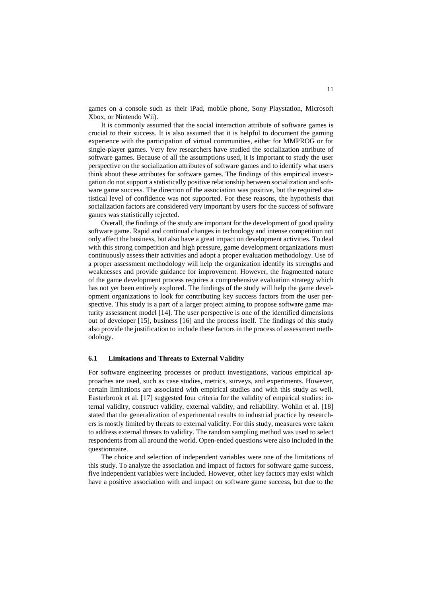games on a console such as their iPad, mobile phone, Sony Playstation, Microsoft Xbox, or Nintendo Wii).

It is commonly assumed that the social interaction attribute of software games is crucial to their success. It is also assumed that it is helpful to document the gaming experience with the participation of virtual communities, either for MMPROG or for single-player games. Very few researchers have studied the socialization attribute of software games. Because of all the assumptions used, it is important to study the user perspective on the socialization attributes of software games and to identify what users think about these attributes for software games. The findings of this empirical investigation do not support a statistically positive relationship between socialization and software game success. The direction of the association was positive, but the required statistical level of confidence was not supported. For these reasons, the hypothesis that socialization factors are considered very important by users for the success of software games was statistically rejected.

Overall, the findings of the study are important for the development of good quality software game. Rapid and continual changes in technology and intense competition not only affect the business, but also have a great impact on development activities. To deal with this strong competition and high pressure, game development organizations must continuously assess their activities and adopt a proper evaluation methodology. Use of a proper assessment methodology will help the organization identify its strengths and weaknesses and provide guidance for improvement. However, the fragmented nature of the game development process requires a comprehensive evaluation strategy which has not yet been entirely explored. The findings of the study will help the game development organizations to look for contributing key success factors from the user perspective. This study is a part of a larger project aiming to propose software game maturity assessment model [14]. The user perspective is one of the identified dimensions out of developer [15], business [16] and the process itself. The findings of this study also provide the justification to include these factors in the process of assessment methodology.

#### **6.1 Limitations and Threats to External Validity**

For software engineering processes or product investigations, various empirical approaches are used, such as case studies, metrics, surveys, and experiments. However, certain limitations are associated with empirical studies and with this study as well. Easterbrook et al. [17] suggested four criteria for the validity of empirical studies: internal validity, construct validity, external validity, and reliability. Wohlin et al. [18] stated that the generalization of experimental results to industrial practice by researchers is mostly limited by threats to external validity. For this study, measures were taken to address external threats to validity. The random sampling method was used to select respondents from all around the world. Open-ended questions were also included in the questionnaire.

The choice and selection of independent variables were one of the limitations of this study. To analyze the association and impact of factors for software game success, five independent variables were included. However, other key factors may exist which have a positive association with and impact on software game success, but due to the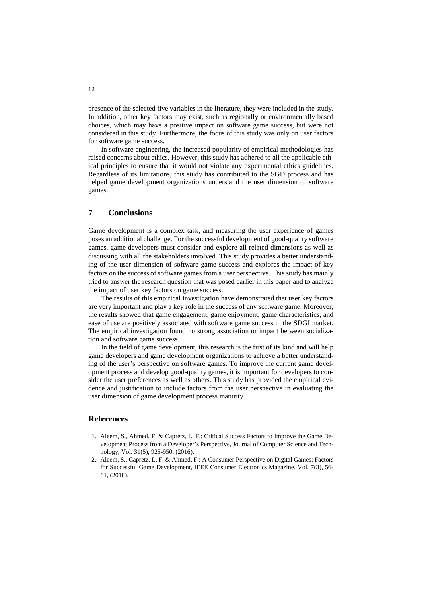presence of the selected five variables in the literature, they were included in the study. In addition, other key factors may exist, such as regionally or environmentally based choices, which may have a positive impact on software game success, but were not considered in this study. Furthermore, the focus of this study was only on user factors for software game success.

In software engineering, the increased popularity of empirical methodologies has raised concerns about ethics. However, this study has adhered to all the applicable ethical principles to ensure that it would not violate any experimental ethics guidelines. Regardless of its limitations, this study has contributed to the SGD process and has helped game development organizations understand the user dimension of software games.

# **7 Conclusions**

Game development is a complex task, and measuring the user experience of games poses an additional challenge. For the successful development of good-quality software games, game developers must consider and explore all related dimensions as well as discussing with all the stakeholders involved. This study provides a better understanding of the user dimension of software game success and explores the impact of key factors on the success of software games from a user perspective. This study has mainly tried to answer the research question that was posed earlier in this paper and to analyze the impact of user key factors on game success.

The results of this empirical investigation have demonstrated that user key factors are very important and play a key role in the success of any software game. Moreover, the results showed that game engagement, game enjoyment, game characteristics, and ease of use are positively associated with software game success in the SDGI market. The empirical investigation found no strong association or impact between socialization and software game success.

In the field of game development, this research is the first of its kind and will help game developers and game development organizations to achieve a better understanding of the user's perspective on software games. To improve the current game development process and develop good-quality games, it is important for developers to consider the user preferences as well as others. This study has provided the empirical evidence and justification to include factors from the user perspective in evaluating the user dimension of game development process maturity.

# **References**

- 1. Aleem, S., Ahmed, F. & Capretz, L. F.: Critical Success Factors to Improve the Game Development Process from a Developer's Perspective, Journal of Computer Science and Technology, Vol. 31(5), 925-950, (2016).
- 2. Aleem, S., Capretz, L. F. & Ahmed, F.: A Consumer Perspective on Digital Games: Factors for Successful Game Development, IEEE Consumer Electronics Magazine, Vol. 7(3), 56- 61, (2018).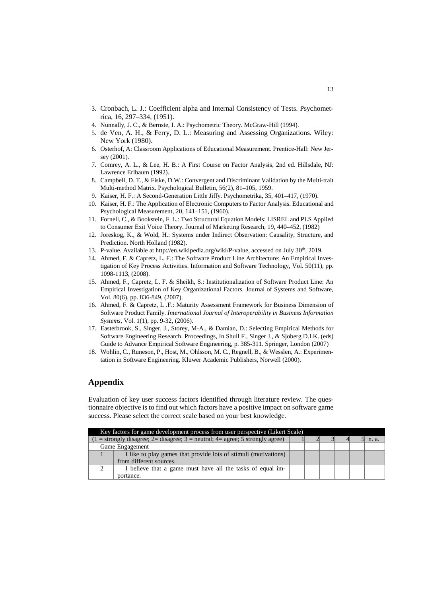- 3. Cronbach, L. J.: Coefficient alpha and Internal Consistency of Tests. Psychometrica, 16, 297–334, (1951).
- 4. Nunnally, J. C., & Bernste, I. A.: Psychometric Theory. McGraw-Hill (1994).
- 5. de Ven, A. H., & Ferry, D. L.: Measuring and Assessing Organizations. Wiley: New York (1980).
- 6. Osterhof, A: Classroom Applications of Educational Measurement. Prentice-Hall: New Jersey (2001).
- 7. Comrey, A. L., & Lee, H. B.: A First Course on Factor Analysis, 2nd ed. Hillsdale, NJ: Lawrence Erlbaum (1992).
- 8. Campbell, D. T., & Fiske, D.W.: Convergent and Discriminant Validation by the Multi-trait Multi-method Matrix. Psychological Bulletin, 56(2), 81–105, 1959.
- 9. Kaiser, H. F.: A Second-Generation Little Jiffy. Psychometrika, 35, 401–417, (1970).
- 10. Kaiser, H. F.: The Application of Electronic Computers to Factor Analysis. Educational and Psychological Measurement, 20, 141–151, (1960).
- 11. Fornell, C., & Bookstein, F. L.: Two Structural Equation Models: LISREL and PLS Applied to Consumer Exit Voice Theory. Journal of Marketing Research, 19, 440–452, (1982)
- 12. Joreskog, K., & Wold, H.: Systems under Indirect Observation: Causality, Structure, and Prediction. North Holland (1982).
- 13. P-value. Available at http://en.wikipedia.org/wiki/P-value, accessed on July 30th, 2019.
- 14. Ahmed, F. & Capretz, L. F.: The Software Product Line Architecture: An Empirical Investigation of Key Process Activities. Information and Software Technology, Vol. 50(11), pp. 1098-1113, (2008).
- 15. Ahmed, F., Capretz, L. F. & Sheikh, S.: Institutionalization of Software Product Line: An Empirical Investigation of Key Organizational Factors. Journal of Systems and Software, Vol. 80(6), pp. 836-849, (2007).
- 16. Ahmed, F. & Capretz, L .F.: Maturity Assessment Framework for Business Dimension of Software Product Family. *International Journal of Interoperability in Business Information Systems*, Vol. 1(1), pp. 9-32, (2006).
- 17. Easterbrook, S., Singer, J., Storey, M-A., & Damian, D.: Selecting Empirical Methods for Software Engineering Research. Proceedings, In Shull F., Singer J., & Sjoberg D.I.K. (eds) Guide to Advance Empirical Software Engineering, p. 385-311. Springer, London (2007)
- 18. Wohlin, C., Runeson, P., Host, M., Ohlsson, M. C., Regnell, B., & Wesslen, A.: Experimentation in Software Engineering. Kluwer Academic Publishers, Norwell (2000).

# **Appendix**

Evaluation of key user success factors identified through literature review. The questionnaire objective is to find out which factors have a positive impact on software game success. Please select the correct scale based on your best knowledge.

| Key factors for game development process from user perspective (Likert Scale)           |                                                                 |  |  |  |  |  |       |
|-----------------------------------------------------------------------------------------|-----------------------------------------------------------------|--|--|--|--|--|-------|
| $(1 =$ strongly disagree; $2 =$ disagree; $3 =$ neutral; $4 =$ agree; 5 strongly agree) |                                                                 |  |  |  |  |  | n. a. |
| Game Engagement                                                                         |                                                                 |  |  |  |  |  |       |
|                                                                                         | I like to play games that provide lots of stimuli (motivations) |  |  |  |  |  |       |
|                                                                                         | from different sources.                                         |  |  |  |  |  |       |
| ◠                                                                                       | I believe that a game must have all the tasks of equal im-      |  |  |  |  |  |       |
|                                                                                         | portance.                                                       |  |  |  |  |  |       |